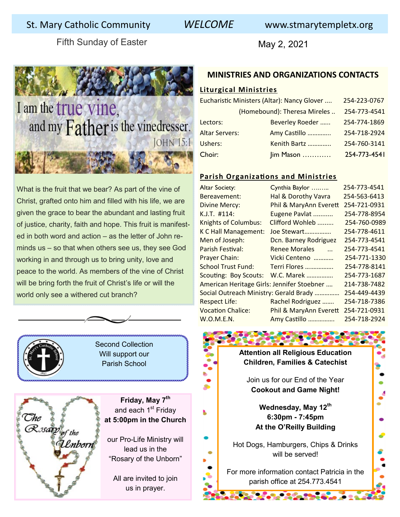# St. Mary Catholic Community *WELCOME* www.stmarytempletx.org

Fifth Sunday of Easter May 2, 2021



# I am the true vine, and my Father is the vinedresser. **JOHN 15:1**

What is the fruit that we bear? As part of the vine of Christ, grafted onto him and filled with his life, we are given the grace to bear the abundant and lasting fruit of justice, charity, faith and hope. This fruit is manifested in both word and action – as the letter of John reminds us – so that when others see us, they see God working in and through us to bring unity, love and peace to the world. As members of the vine of Christ will be bring forth the fruit of Christ's life or will the world only see a withered cut branch?

Second Collection Will support our Parish School

The<br>Rosarp<sub>of the</sub> Lnborn

**Friday, May 7th**  and each 1<sup>st</sup> Friday **at 5:00pm in the Church**

our Pro-Life Ministry will lead us in the "Rosary of the Unborn"

All are invited to join us in prayer.

#### **MINISTRIES AND ORGANIZATIONS CONTACTS**

#### **Liturgical Ministries**

| Eucharistic Ministers (Altar): Nancy Glover |                 | 254-223-0767 |
|---------------------------------------------|-----------------|--------------|
| (Homebound): Theresa Mireles                |                 | 254-773-4541 |
| Lectors:                                    | Beverley Roeder | 254-774-1869 |
| <b>Altar Servers:</b>                       | Amy Castillo    | 254-718-2924 |
| Ushers:                                     | Kenith Bartz    | 254-760-3141 |
| Choir:<br>$\lim$ Mason                      |                 | 254-773-4541 |

#### **Parish Organizations and Ministries**

| <b>Altar Society:</b>                                      | Cynthia Baylor         | 254-773-4541 |
|------------------------------------------------------------|------------------------|--------------|
| Bereavement:                                               | Hal & Dorothy Vavra    | 254-563-6413 |
| <b>Divine Mercy:</b>                                       | Phil & MaryAnn Everett | 254-721-0931 |
| $K.J.T.$ #114:                                             | Eugene Pavlat          | 254-778-8954 |
| <b>Knights of Columbus:</b>                                | Clifford Wohleb        | 254-760-0989 |
| K C Hall Management:                                       | Joe Stewart            | 254-778-4611 |
| Men of Joseph:                                             | Dcn. Barney Rodriguez  | 254-773-4541 |
| Parish Festival:                                           | <b>Renee Morales</b>   | 254-773-4541 |
| Prayer Chain:                                              | Vicki Centeno          | 254-771-1330 |
| <b>School Trust Fund:</b>                                  | Terri Flores           | 254-778-8141 |
| <b>Scouting: Boy Scouts:</b>                               | W.C. Marek             | 254-773-1687 |
| American Heritage Girls: Jennifer Stoebner<br>214-738-7482 |                        |              |
| Social Outreach Ministry: Gerald Brady<br>254-449-4439     |                        |              |
| <b>Respect Life:</b>                                       | Rachel Rodriguez       | 254-718-7386 |
| <b>Vocation Chalice:</b>                                   | Phil & MaryAnn Everett | 254-721-0931 |
| W.O.M.E.N.                                                 | Amy Castillo           | 254-718-2924 |

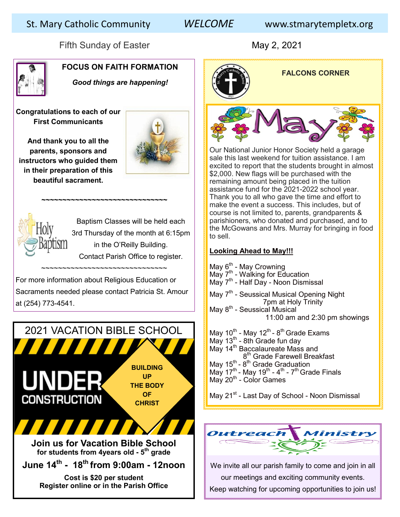# St. Mary Catholic Community *WELCOME* www.stmarytempletx.org

Fifth Sunday of Easter May 2, 2021



# **FOCUS ON FAITH FORMATION**

*Good things are happening!* 

**Congratulations to each of our First Communicants**

**And thank you to all the parents, sponsors and instructors who guided them in their preparation of this beautiful sacrament.** 





Baptism Classes will be held each 3rd Thursday of the month at 6:15pm in the O'Reilly Building. Contact Parish Office to register.

For more information about Religious Education or Sacraments needed please contact Patricia St. Amour at (254) 773-4541.

~~~~~~~~~~~~~~~~~~~~~~~~~~~~~~~

*~~~~~~~~~~~~~~~~~~~~~~~~~~~~~~*





Our National Junior Honor Society held a garage sale this last weekend for tuition assistance. I am excited to report that the students brought in almost \$2,000. New flags will be purchased with the remaining amount being placed in the tuition assistance fund for the 2021-2022 school year. Thank you to all who gave the time and effort to make the event a success. This includes, but of course is not limited to, parents, grandparents & parishioners, who donated and purchased, and to the McGowans and Mrs. Murray for bringing in food to sell.

### **Looking Ahead to May!!!**

May 6<sup>th</sup> - May Crowning May 7<sup>th</sup> - Walking for Education May 7<sup>th</sup> - Half Day - Noon Dismissal May 7<sup>th</sup> - Seussical Musical Opening Night 7pm at Holy Trinity May 8<sup>th</sup> - Seussical Musical 11:00 am and 2:30 pm showings May 10 $^{\text{th}}$  - May 12 $^{\text{th}}$  - 8 $^{\text{th}}$  Grade Exams May 13 $<sup>th</sup>$  - 8th Grade fun day</sup> May 14<sup>th</sup> Baccalaureate Mass and  $\overline{\phantom{0}}$ 8 8<sup>th</sup> Grade Farewell Breakfast May 15<sup>th</sup> -  $8^{\text{th}}$  Grade Graduation

May 17<sup>th</sup> - May 19<sup>th</sup> - 4<sup>th</sup> - 7<sup>th</sup> Grade Finals May 20<sup>th</sup> - Color Games

May 21<sup>st</sup> - Last Day of School - Noon Dismissal



We invite all our parish family to come and join in all our meetings and exciting community events. Keep watching for upcoming opportunities to join us!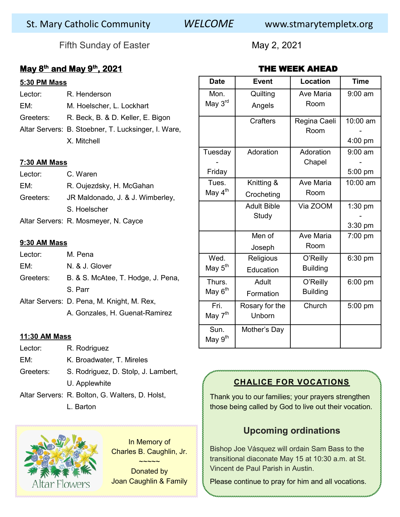# St. Mary Catholic Community *WELCOME* www.stmarytempletx.org

Fifth Sunday of Easter May 2, 2021

## **May 8th and May 9th, 2021**

#### **5:30 PM Mass**

- Lector: R. Henderson
- EM: M. Hoelscher, L. Lockhart
- Greeters: R. Beck, B. & D. Keller, E. Bigon
- Altar Servers: B. Stoebner, T. Lucksinger, I. Ware, X. Mitchell

#### **7:30 AM Mass**

| Lector:   | C. Waren                                      |
|-----------|-----------------------------------------------|
| EM:       | R. Oujezdsky, H. McGahan                      |
| Greeters: | JR Maldonado, J. & J. Wimberley,              |
|           | S. Hoelscher                                  |
|           | Alter $\bigcap$ $\bigcap$ M.     NI $\bigcap$ |

Altar Servers: R. Mosmeyer, N. Cayce

### **9:30 AM Mass**

| Lector:   | M. Pena                                    |
|-----------|--------------------------------------------|
| EM:       | N. & J. Glover                             |
| Greeters: | B. & S. McAtee, T. Hodge, J. Pena,         |
|           | S. Parr                                    |
|           | Altar Servers: D. Pena, M. Knight, M. Rex, |

A. Gonzales, H. Guenat-Ramirez

#### **11:30 AM Mass**

- Lector: R. Rodriguez EM: K. Broadwater, T. Mireles Greeters: S. Rodriguez, D. Stolp, J. Lambert, U. Applewhite Altar Servers: R. Bolton, G. Walters, D. Holst,
	- L. Barton



In Memory of Charles B. Caughlin, Jr.

Donated by Joan Caughlin & Family

 $\sim$  $\sim$  $\sim$  $\sim$ 

## THE WEEK AHEAD

| <b>Date</b>         | <b>Event</b>       | <b>Location</b> | <b>Time</b> |
|---------------------|--------------------|-----------------|-------------|
| Mon.                | Quilting           | Ave Maria       | $9:00$ am   |
| May 3rd             | Angels             | Room            |             |
|                     | <b>Crafters</b>    | Regina Caeli    | 10:00 am    |
|                     |                    | Room            |             |
|                     |                    |                 | 4:00 pm     |
| Tuesday             | Adoration          | Adoration       | $9:00$ am   |
|                     |                    | Chapel          |             |
| Friday              |                    |                 | 5:00 pm     |
| Tues.               | Knitting &         | Ave Maria       | 10:00 am    |
| May 4 <sup>th</sup> | Crocheting         | Room            |             |
|                     | <b>Adult Bible</b> | Via ZOOM        | $1:30$ pm   |
|                     | Study              |                 |             |
|                     |                    |                 | 3:30 pm     |
|                     | Men of             | Ave Maria       | 7:00 pm     |
|                     | Joseph             | Room            |             |
| Wed.                | Religious          | O'Reilly        | 6:30 pm     |
| May 5 <sup>th</sup> | Education          | <b>Building</b> |             |
| Thurs.              | Adult              | O'Reilly        | 6:00 pm     |
| May 6 <sup>th</sup> | Formation          | <b>Building</b> |             |
| Fri.                | Rosary for the     | Church          | 5:00 pm     |
| May 7 <sup>th</sup> | Unborn             |                 |             |
| Sun.                | Mother's Day       |                 |             |
| May 9 <sup>th</sup> |                    |                 |             |

# **CHALICE FOR VOCATIONS**

Thank you to our families; your prayers strengthen those being called by God to live out their vocation.

# **Upcoming ordinations**

Bishop Joe Vásquez will ordain Sam Bass to the transitional diaconate May 15 at 10:30 a.m. at St. Vincent de Paul Parish in Austin.

Please continue to pray for him and all vocations.